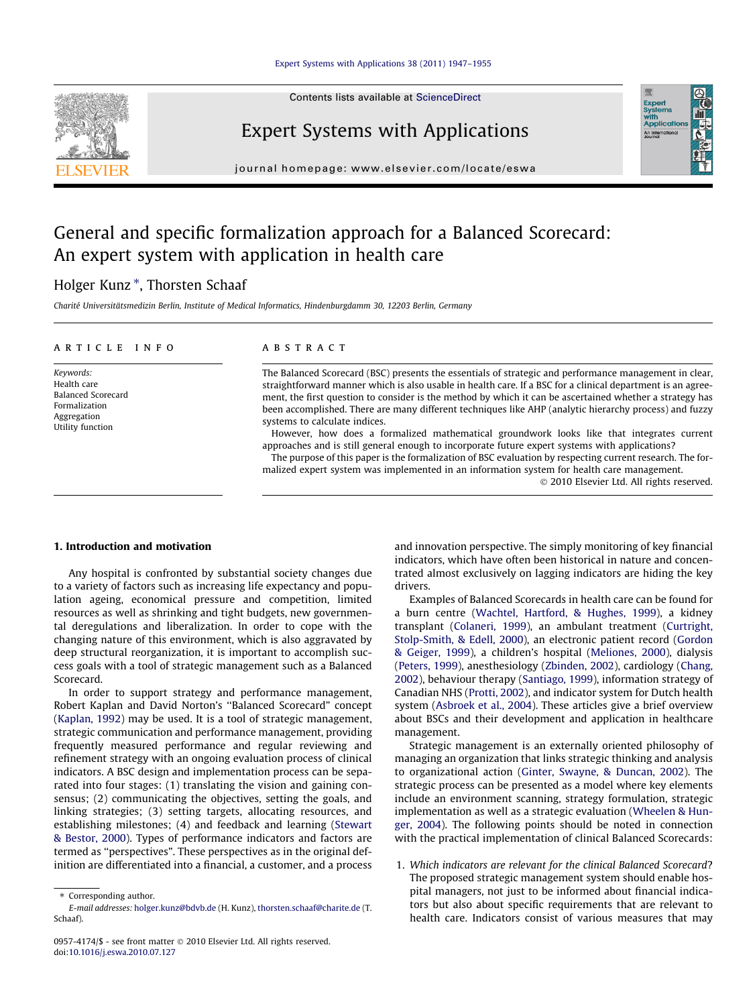## [Expert Systems with Applications 38 \(2011\) 1947–1955](http://dx.doi.org/10.1016/j.eswa.2010.07.127)



Contents lists available at [ScienceDirect](http://www.sciencedirect.com/science/journal/09574174)

# Expert Systems with Applications

journal homepage: [www.elsevier.com/locate/eswa](http://www.elsevier.com/locate/eswa)

# General and specific formalization approach for a Balanced Scorecard: An expert system with application in health care

# Holger Kunz<sup>\*</sup>, Thorsten Schaaf

Charité Universitätsmedizin Berlin, Institute of Medical Informatics, Hindenburgdamm 30, 12203 Berlin, Germany

# article info

Keywords: Health care Balanced Scorecard Formalization Aggregation Utility function

### ABSTRACT

The Balanced Scorecard (BSC) presents the essentials of strategic and performance management in clear, straightforward manner which is also usable in health care. If a BSC for a clinical department is an agreement, the first question to consider is the method by which it can be ascertained whether a strategy has been accomplished. There are many different techniques like AHP (analytic hierarchy process) and fuzzy systems to calculate indices.

However, how does a formalized mathematical groundwork looks like that integrates current approaches and is still general enough to incorporate future expert systems with applications?

The purpose of this paper is the formalization of BSC evaluation by respecting current research. The formalized expert system was implemented in an information system for health care management.

Expert<br>Systems<br>with<br>Applical

#### 1. Introduction and motivation

Any hospital is confronted by substantial society changes due to a variety of factors such as increasing life expectancy and population ageing, economical pressure and competition, limited resources as well as shrinking and tight budgets, new governmental deregulations and liberalization. In order to cope with the changing nature of this environment, which is also aggravated by deep structural reorganization, it is important to accomplish success goals with a tool of strategic management such as a Balanced Scorecard.

In order to support strategy and performance management, Robert Kaplan and David Norton's ''Balanced Scorecard" concept ([Kaplan, 1992](#page--1-0)) may be used. It is a tool of strategic management, strategic communication and performance management, providing frequently measured performance and regular reviewing and refinement strategy with an ongoing evaluation process of clinical indicators. A BSC design and implementation process can be separated into four stages: (1) translating the vision and gaining consensus; (2) communicating the objectives, setting the goals, and linking strategies; (3) setting targets, allocating resources, and establishing milestones; (4) and feedback and learning [\(Stewart](#page--1-0) [& Bestor, 2000](#page--1-0)). Types of performance indicators and factors are termed as ''perspectives". These perspectives as in the original definition are differentiated into a financial, a customer, and a process

and innovation perspective. The simply monitoring of key financial indicators, which have often been historical in nature and concentrated almost exclusively on lagging indicators are hiding the key drivers.

Examples of Balanced Scorecards in health care can be found for a burn centre ([Wachtel, Hartford, & Hughes, 1999\)](#page--1-0), a kidney transplant [\(Colaneri, 1999](#page--1-0)), an ambulant treatment [\(Curtright,](#page--1-0) [Stolp-Smith, & Edell, 2000\)](#page--1-0), an electronic patient record ([Gordon](#page--1-0) [& Geiger, 1999\)](#page--1-0), a children's hospital [\(Meliones, 2000](#page--1-0)), dialysis ([Peters, 1999](#page--1-0)), anesthesiology [\(Zbinden, 2002\)](#page--1-0), cardiology [\(Chang,](#page--1-0) [2002](#page--1-0)), behaviour therapy [\(Santiago, 1999\)](#page--1-0), information strategy of Canadian NHS ([Protti, 2002\)](#page--1-0), and indicator system for Dutch health system [\(Asbroek et al., 2004\)](#page--1-0). These articles give a brief overview about BSCs and their development and application in healthcare management.

Strategic management is an externally oriented philosophy of managing an organization that links strategic thinking and analysis to organizational action ([Ginter, Swayne, & Duncan, 2002\)](#page--1-0). The strategic process can be presented as a model where key elements include an environment scanning, strategy formulation, strategic implementation as well as a strategic evaluation [\(Wheelen & Hun](#page--1-0)[ger, 2004](#page--1-0)). The following points should be noted in connection with the practical implementation of clinical Balanced Scorecards:

1. Which indicators are relevant for the clinical Balanced Scorecard? The proposed strategic management system should enable hospital managers, not just to be informed about financial indicators but also about specific requirements that are relevant to health care. Indicators consist of various measures that may

<sup>-</sup> 2010 Elsevier Ltd. All rights reserved.

<sup>⇑</sup> Corresponding author.

E-mail addresses: [holger.kunz@bdvb.de](mailto:holger.kunz@bdvb.de) (H. Kunz), [thorsten.schaaf@charite.de](mailto:thorsten.schaaf@charite.de) (T. Schaaf).

<sup>0957-4174/\$ -</sup> see front matter © 2010 Elsevier Ltd. All rights reserved. doi[:10.1016/j.eswa.2010.07.127](http://dx.doi.org/10.1016/j.eswa.2010.07.127)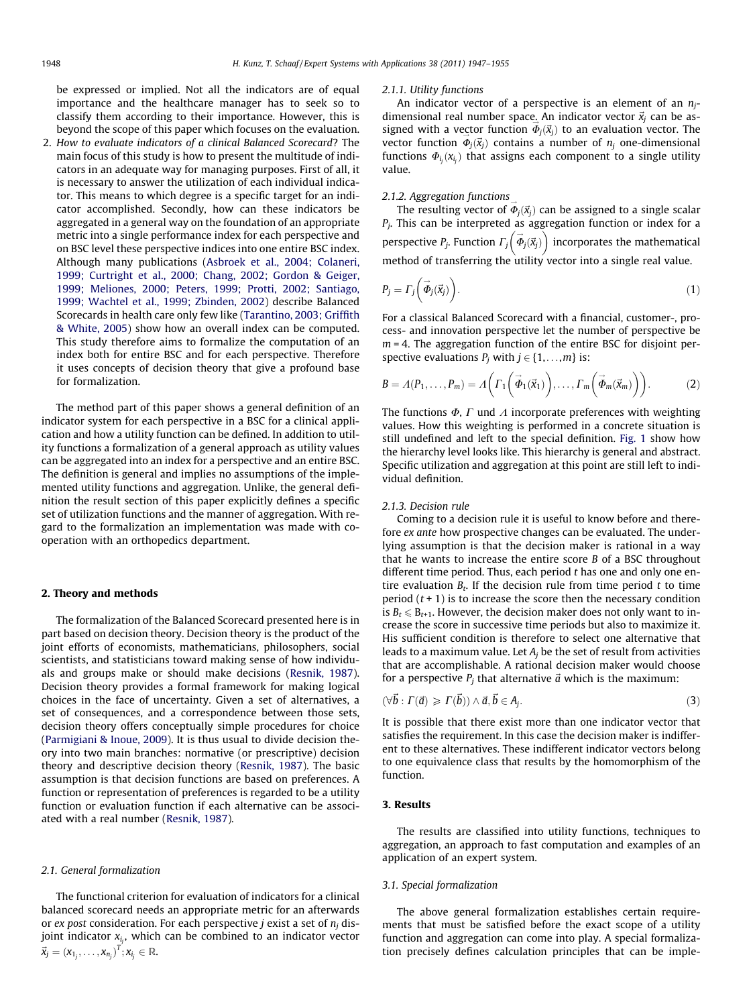be expressed or implied. Not all the indicators are of equal importance and the healthcare manager has to seek so to classify them according to their importance. However, this is beyond the scope of this paper which focuses on the evaluation.

2. How to evaluate indicators of a clinical Balanced Scorecard? The main focus of this study is how to present the multitude of indicators in an adequate way for managing purposes. First of all, it is necessary to answer the utilization of each individual indicator. This means to which degree is a specific target for an indicator accomplished. Secondly, how can these indicators be aggregated in a general way on the foundation of an appropriate metric into a single performance index for each perspective and on BSC level these perspective indices into one entire BSC index. Although many publications [\(Asbroek et al., 2004; Colaneri,](#page--1-0) [1999; Curtright et al., 2000; Chang, 2002; Gordon & Geiger,](#page--1-0) [1999; Meliones, 2000; Peters, 1999; Protti, 2002; Santiago,](#page--1-0) [1999; Wachtel et al., 1999; Zbinden, 2002\)](#page--1-0) describe Balanced Scorecards in health care only few like ([Tarantino, 2003; Griffith](#page--1-0) [& White, 2005\)](#page--1-0) show how an overall index can be computed. This study therefore aims to formalize the computation of an index both for entire BSC and for each perspective. Therefore it uses concepts of decision theory that give a profound base for formalization.

The method part of this paper shows a general definition of an indicator system for each perspective in a BSC for a clinical application and how a utility function can be defined. In addition to utility functions a formalization of a general approach as utility values can be aggregated into an index for a perspective and an entire BSC. The definition is general and implies no assumptions of the implemented utility functions and aggregation. Unlike, the general definition the result section of this paper explicitly defines a specific set of utilization functions and the manner of aggregation. With regard to the formalization an implementation was made with cooperation with an orthopedics department.

#### 2. Theory and methods

The formalization of the Balanced Scorecard presented here is in part based on decision theory. Decision theory is the product of the joint efforts of economists, mathematicians, philosophers, social scientists, and statisticians toward making sense of how individuals and groups make or should make decisions ([Resnik, 1987\)](#page--1-0). Decision theory provides a formal framework for making logical choices in the face of uncertainty. Given a set of alternatives, a set of consequences, and a correspondence between those sets, decision theory offers conceptually simple procedures for choice ([Parmigiani & Inoue, 2009\)](#page--1-0). It is thus usual to divide decision theory into two main branches: normative (or prescriptive) decision theory and descriptive decision theory ([Resnik, 1987\)](#page--1-0). The basic assumption is that decision functions are based on preferences. A function or representation of preferences is regarded to be a utility function or evaluation function if each alternative can be associated with a real number [\(Resnik, 1987\)](#page--1-0).

#### 2.1. General formalization

The functional criterion for evaluation of indicators for a clinical balanced scorecard needs an appropriate metric for an afterwards or ex post consideration. For each perspective *j* exist a set of  $n_i$  disjoint indicator  $x_{i_j}$ , which can be combined to an indicator vector  $\vec{x}_j = (x_{1_j}, \ldots, x_{n_j})^T; x_{i_j} \in \mathbb{R}.$ 

#### 2.1.1. Utility functions

An indicator vector of a perspective is an element of an  $n_i$ dimensional real number space. An indicator vector  $\vec{x}_i$  can be assigned with a vector function  $\Phi_j(\vec{x}_j)$  to an evaluation vector. The vector function  $\overline{\Phi}_j(\overline{x}_j)$  contains a number of  $n_j$  one-dimensional functions  $\Phi_{i_j}(x_{i_j})$  that assigns each component to a single utility value.

#### 2.1.2. Aggregation functions

The resulting vector of  $\vec{\Phi}_j(\vec{x}_j)$  can be assigned to a single scalar  $P_j$ . This can be interpreted as aggregation function or index for a perspective  $P_j$ . Function  $\Gamma_j\left(\vec{\phi}_j(\vec{x}_j)\right)$  incorporates the mathematical method of transferring the utility vector into a single real value.

$$
P_j = \Gamma_j \bigg( \vec{\Phi}_j(\vec{x}_j) \bigg). \tag{1}
$$

For a classical Balanced Scorecard with a financial, customer-, process- and innovation perspective let the number of perspective be  $m = 4$ . The aggregation function of the entire BSC for disjoint perspective evaluations  $P_i$  with  $j \in \{1, \ldots, m\}$  is:

$$
B = \Lambda(P_1, \dots, P_m) = \Lambda\bigg(\Gamma_1\bigg(\vec{\Phi}_1(\vec{x}_1)\bigg), \dots, \Gamma_m\bigg(\vec{\Phi}_m(\vec{x}_m)\bigg)\bigg). \tag{2}
$$

The functions  $\Phi$ ,  $\Gamma$  und  $\Lambda$  incorporate preferences with weighting values. How this weighting is performed in a concrete situation is still undefined and left to the special definition. [Fig. 1](#page--1-0) show how the hierarchy level looks like. This hierarchy is general and abstract. Specific utilization and aggregation at this point are still left to individual definition.

# 2.1.3. Decision rule

Coming to a decision rule it is useful to know before and therefore ex ante how prospective changes can be evaluated. The underlying assumption is that the decision maker is rational in a way that he wants to increase the entire score B of a BSC throughout different time period. Thus, each period  $t$  has one and only one entire evaluation  $B_t$ . If the decision rule from time period t to time period  $(t + 1)$  is to increase the score then the necessary condition is  $B_t \leq B_{t+1}$ . However, the decision maker does not only want to increase the score in successive time periods but also to maximize it. His sufficient condition is therefore to select one alternative that leads to a maximum value. Let  $A_i$  be the set of result from activities that are accomplishable. A rational decision maker would choose for a perspective  $P_j$  that alternative  $\vec{a}$  which is the maximum:

$$
(\forall \vec{b} : \Gamma(\vec{a}) \geqslant \Gamma(\vec{b})) \wedge \vec{a}, \vec{b} \in A_j. \tag{3}
$$

It is possible that there exist more than one indicator vector that satisfies the requirement. In this case the decision maker is indifferent to these alternatives. These indifferent indicator vectors belong to one equivalence class that results by the homomorphism of the function.

# 3. Results

The results are classified into utility functions, techniques to aggregation, an approach to fast computation and examples of an application of an expert system.

#### 3.1. Special formalization

The above general formalization establishes certain requirements that must be satisfied before the exact scope of a utility function and aggregation can come into play. A special formalization precisely defines calculation principles that can be imple-